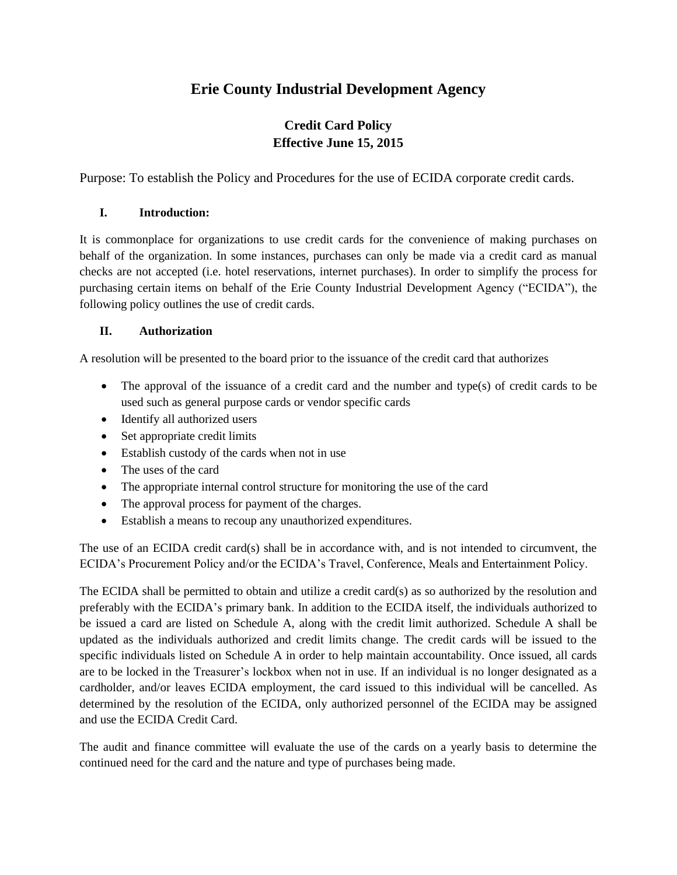## **Erie County Industrial Development Agency**

### **Credit Card Policy Effective June 15, 2015**

Purpose: To establish the Policy and Procedures for the use of ECIDA corporate credit cards.

#### **I. Introduction:**

It is commonplace for organizations to use credit cards for the convenience of making purchases on behalf of the organization. In some instances, purchases can only be made via a credit card as manual checks are not accepted (i.e. hotel reservations, internet purchases). In order to simplify the process for purchasing certain items on behalf of the Erie County Industrial Development Agency ("ECIDA"), the following policy outlines the use of credit cards.

#### **II. Authorization**

A resolution will be presented to the board prior to the issuance of the credit card that authorizes

- The approval of the issuance of a credit card and the number and type(s) of credit cards to be used such as general purpose cards or vendor specific cards
- Identify all authorized users
- Set appropriate credit limits
- Establish custody of the cards when not in use
- The uses of the card
- The appropriate internal control structure for monitoring the use of the card
- The approval process for payment of the charges.
- Establish a means to recoup any unauthorized expenditures.

The use of an ECIDA credit card(s) shall be in accordance with, and is not intended to circumvent, the ECIDA's Procurement Policy and/or the ECIDA's Travel, Conference, Meals and Entertainment Policy.

The ECIDA shall be permitted to obtain and utilize a credit card(s) as so authorized by the resolution and preferably with the ECIDA's primary bank. In addition to the ECIDA itself, the individuals authorized to be issued a card are listed on Schedule A, along with the credit limit authorized. Schedule A shall be updated as the individuals authorized and credit limits change. The credit cards will be issued to the specific individuals listed on Schedule A in order to help maintain accountability. Once issued, all cards are to be locked in the Treasurer's lockbox when not in use. If an individual is no longer designated as a cardholder, and/or leaves ECIDA employment, the card issued to this individual will be cancelled. As determined by the resolution of the ECIDA, only authorized personnel of the ECIDA may be assigned and use the ECIDA Credit Card.

The audit and finance committee will evaluate the use of the cards on a yearly basis to determine the continued need for the card and the nature and type of purchases being made.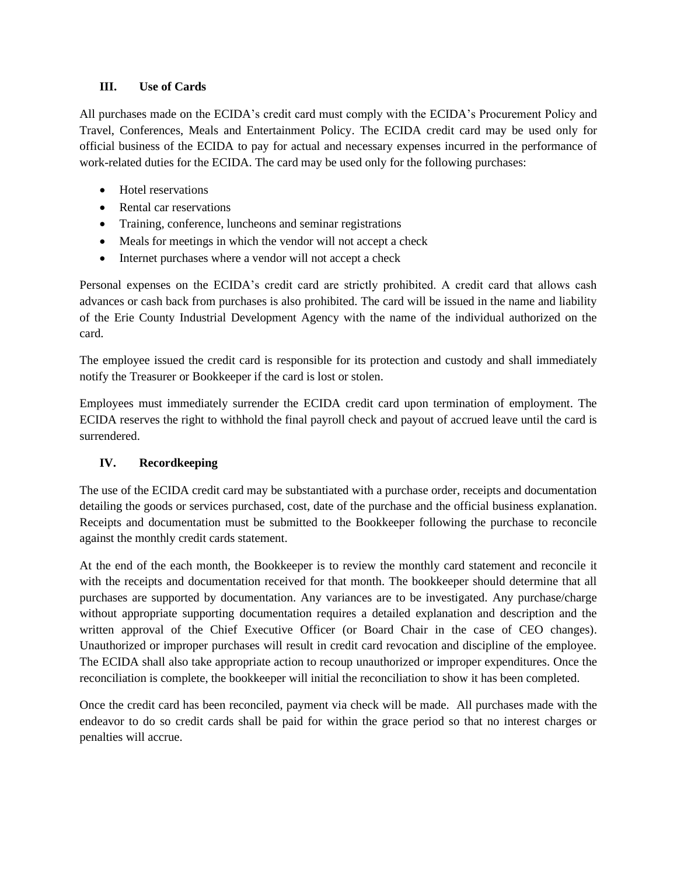#### **III. Use of Cards**

All purchases made on the ECIDA's credit card must comply with the ECIDA's Procurement Policy and Travel, Conferences, Meals and Entertainment Policy. The ECIDA credit card may be used only for official business of the ECIDA to pay for actual and necessary expenses incurred in the performance of work-related duties for the ECIDA. The card may be used only for the following purchases:

- Hotel reservations
- Rental car reservations
- Training, conference, luncheons and seminar registrations
- Meals for meetings in which the vendor will not accept a check
- Internet purchases where a vendor will not accept a check

Personal expenses on the ECIDA's credit card are strictly prohibited. A credit card that allows cash advances or cash back from purchases is also prohibited. The card will be issued in the name and liability of the Erie County Industrial Development Agency with the name of the individual authorized on the card.

The employee issued the credit card is responsible for its protection and custody and shall immediately notify the Treasurer or Bookkeeper if the card is lost or stolen.

Employees must immediately surrender the ECIDA credit card upon termination of employment. The ECIDA reserves the right to withhold the final payroll check and payout of accrued leave until the card is surrendered.

#### **IV. Recordkeeping**

The use of the ECIDA credit card may be substantiated with a purchase order, receipts and documentation detailing the goods or services purchased, cost, date of the purchase and the official business explanation. Receipts and documentation must be submitted to the Bookkeeper following the purchase to reconcile against the monthly credit cards statement.

At the end of the each month, the Bookkeeper is to review the monthly card statement and reconcile it with the receipts and documentation received for that month. The bookkeeper should determine that all purchases are supported by documentation. Any variances are to be investigated. Any purchase/charge without appropriate supporting documentation requires a detailed explanation and description and the written approval of the Chief Executive Officer (or Board Chair in the case of CEO changes). Unauthorized or improper purchases will result in credit card revocation and discipline of the employee. The ECIDA shall also take appropriate action to recoup unauthorized or improper expenditures. Once the reconciliation is complete, the bookkeeper will initial the reconciliation to show it has been completed.

Once the credit card has been reconciled, payment via check will be made. All purchases made with the endeavor to do so credit cards shall be paid for within the grace period so that no interest charges or penalties will accrue.